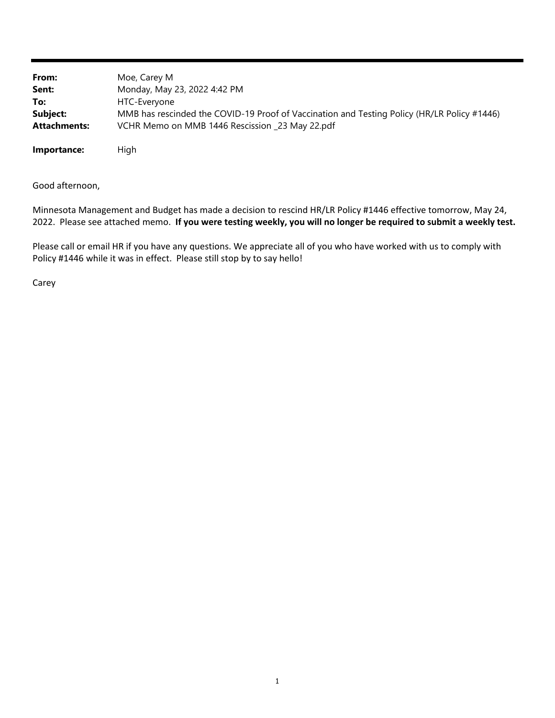| From:               | Moe, Carey M                                                                                |
|---------------------|---------------------------------------------------------------------------------------------|
| Sent:               | Monday, May 23, 2022 4:42 PM                                                                |
| To:                 | HTC-Everyone                                                                                |
| Subject:            | MMB has rescinded the COVID-19 Proof of Vaccination and Testing Policy (HR/LR Policy #1446) |
| <b>Attachments:</b> | VCHR Memo on MMB 1446 Rescission _23 May 22.pdf                                             |
|                     |                                                                                             |

**Importance:** High

Good afternoon,

Minnesota Management and Budget has made a decision to rescind HR/LR Policy #1446 effective tomorrow, May 24, 2022. Please see attached memo. If you were testing weekly, you will no longer be required to submit a weekly test.

Please call or email HR if you have any questions. We appreciate all of you who have worked with us to comply with Policy #1446 while it was in effect. Please still stop by to say hello!

Carey